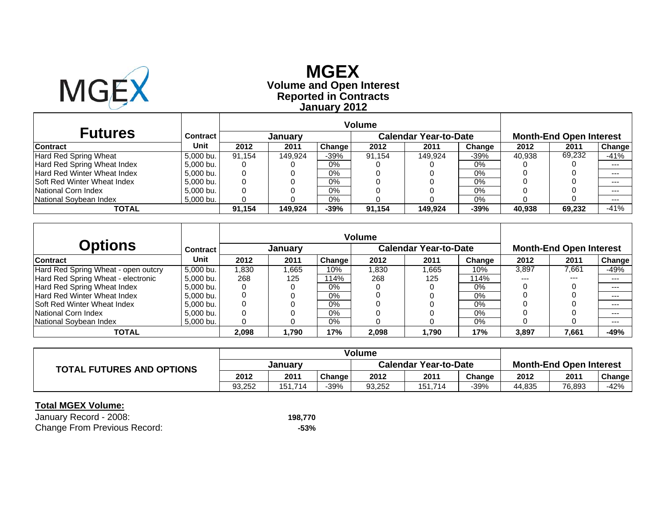

# **Reported in Contracts Volume and Open Interest MGEXJanuary 2012**

| <b>Futures</b>                     | Contract  |        | Januarv |               |        | <b>Calendar Year-to-Date</b> |        |        | <b>Month-End Open Interest</b> |        |
|------------------------------------|-----------|--------|---------|---------------|--------|------------------------------|--------|--------|--------------------------------|--------|
| <b>Contract</b>                    | Unit      | 2012   | 2011    | <b>Change</b> | 2012   | 2011                         | Change | 2012   | 2011                           | Change |
| Hard Red Spring Wheat              | 5.000 bu. | 91.154 | 149.924 | $-39%$        | 91.154 | 149.924                      | -39%   | 40.938 | 69,232                         | $-41%$ |
| Hard Red Spring Wheat Index        | 5.000 bu. |        |         | $0\%$         |        |                              | 0%     |        |                                | $---$  |
| <b>Hard Red Winter Wheat Index</b> | 5.000 bu. |        |         | 0%            |        |                              | 0%     |        |                                | $---$  |
| <b>Soft Red Winter Wheat Index</b> | 5.000 bu. |        |         | 0%            |        |                              | 0%     |        |                                | $--$   |
| National Corn Index                | 5.000 bu. |        |         | 0%            |        |                              | 0%     |        |                                | $---$  |
| National Sovbean Index             | 5,000 bu. |        |         | 0%            |        |                              | 0%     |        |                                | $--$   |
| TOTAL                              |           | 91.154 | 149.924 | $-39%$        | 91.154 | 149.924                      | -39%   | 40.938 | 69,232                         | $-41%$ |

|                                     |                 |       |         |        | <b>Volume</b> |                              |        |       |                                |         |
|-------------------------------------|-----------------|-------|---------|--------|---------------|------------------------------|--------|-------|--------------------------------|---------|
| Options                             | <b>Contract</b> |       | January |        |               | <b>Calendar Year-to-Date</b> |        |       | <b>Month-End Open Interest</b> |         |
| <b>Contract</b>                     | Unit            | 2012  | 2011    | Change | 2012          | 2011                         | Change | 2012  | 2011                           | Change  |
| Hard Red Spring Wheat - open outcry | 5.000 bu.       | ,830  | .665    | 10%    | .830          | .665                         | 10%    | 3,897 | 7,661                          | -49%    |
| Hard Red Spring Wheat - electronic  | 5.000 bu.       | 268   | 125     | 114%   | 268           | 125                          | 114%   | $---$ | $---$                          | $---$   |
| Hard Red Spring Wheat Index         | 5,000 bu.       |       |         | $0\%$  |               |                              | 0%     |       |                                | $---$   |
| Hard Red Winter Wheat Index         | 5.000 bu.       |       |         | 0%     |               |                              | 0%     |       |                                | $- - -$ |
| <b>Soft Red Winter Wheat Index</b>  | 5,000 bu.       |       |         | $0\%$  |               |                              | 0%     |       |                                | $---$   |
| National Corn Index                 | 5.000 bu.       |       |         | 0%     |               |                              | 0%     |       |                                | ---     |
| National Soybean Index              | 5.000 bu.       |       |         | 0%     |               |                              | 0%     |       |                                | $--$    |
| <b>TOTAL</b>                        |                 | 2,098 | 1,790   | 17%    | 2,098         | 1.790                        | 17%    | 3,897 | 7,661                          | -49%    |

| <b>TOTAL FUTURES AND OPTIONS</b> | January |         |        | <b>Calendar Year-to-Date</b> |         |        | <b>Month-End Open Interest</b> |        |        |
|----------------------------------|---------|---------|--------|------------------------------|---------|--------|--------------------------------|--------|--------|
|                                  | 2012    | 2011    | Change | 2012                         | 2011    | Change | 2012                           | 2011   | Change |
|                                  | 93,252  | 151.714 | -39%   | 93,252                       | 151,714 | -39%   | 44,835                         | 76,893 | -42%   |

| January Record - 2008:              | 198.770 |
|-------------------------------------|---------|
| <b>Change From Previous Record:</b> | -53%    |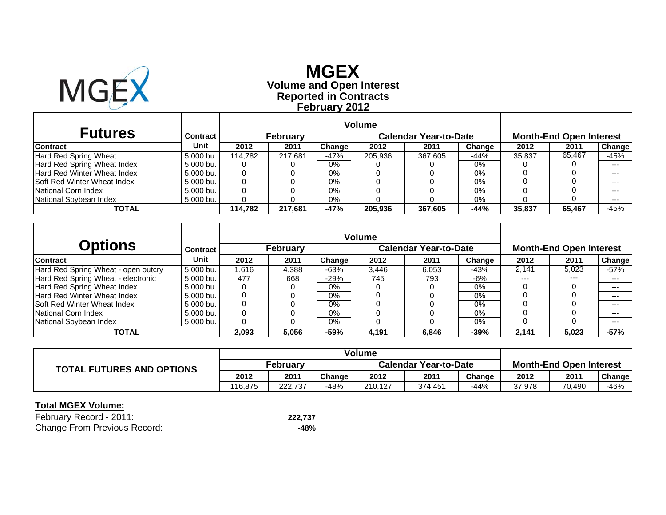

# **Reported in Contracts Volume and Open Interest MGEX February 2012**

| <b>Futures</b>                      | Contract  |         | <b>February</b> |        |         | <b>Calendar Year-to-Date</b> |        |        | <b>Month-End Open Interest</b> |        |
|-------------------------------------|-----------|---------|-----------------|--------|---------|------------------------------|--------|--------|--------------------------------|--------|
| <b>Contract</b>                     | Unit      | 2012    | 2011            | Change | 2012    | 2011                         | Change | 2012   | 2011                           | Change |
| Hard Red Spring Wheat               | 5.000 bu. | 114.782 | 217.681         | -47%   | 205,936 | 367,605                      | -44%   | 35,837 | 65.467                         | -45%   |
| Hard Red Spring Wheat Index         | 5.000 bu. |         |                 | $0\%$  |         |                              | 0%     |        |                                | $---$  |
| Hard Red Winter Wheat Index         | 5.000 bu. | 0       |                 | $0\%$  |         |                              | 0%     |        |                                | $---$  |
| <b>ISoft Red Winter Wheat Index</b> | 5,000 bu. |         |                 | $0\%$  |         |                              | 0%     |        |                                | $---$  |
| National Corn Index                 | 5.000 bu. |         |                 | $0\%$  |         |                              | 0%     |        |                                | $---$  |
| National Sovbean Index              | 5,000 bu. |         |                 | $0\%$  |         |                              | 0%     |        |                                | $---$  |
| TOTAL                               |           | 114.782 | 217.681         | $-47%$ | 205,936 | 367,605                      | $-44%$ | 35,837 | 65,467                         | $-45%$ |

|                                     |                 |       |                 |        | <b>Volume</b> |                              |        |         |                                |        |
|-------------------------------------|-----------------|-------|-----------------|--------|---------------|------------------------------|--------|---------|--------------------------------|--------|
| <b>Options</b>                      | <b>Contract</b> |       | <b>February</b> |        |               | <b>Calendar Year-to-Date</b> |        |         | <b>Month-End Open Interest</b> |        |
| <b>Contract</b>                     | Unit            | 2012  | 2011            | Change | 2012          | 2011                         | Change | 2012    | 2011                           | Change |
| Hard Red Spring Wheat - open outcry | 5.000 bu.       | 1,616 | 4.388           | -63%   | 3.446         | 6.053                        | $-43%$ | 2.141   | 5,023                          | -57%   |
| Hard Red Spring Wheat - electronic  | 5.000 bu.       | 477   | 668             | -29%   | 745           | 793                          | -6%    | $- - -$ | $- - -$                        | $---$  |
| Hard Red Spring Wheat Index         | 5.000 bu.       |       |                 | $0\%$  |               |                              | 0%     |         |                                | $--$   |
| Hard Red Winter Wheat Index         | 5.000 bu.       |       |                 | 0%     |               |                              | 0%     |         |                                | $---$  |
| <b>Soft Red Winter Wheat Index</b>  | 5.000 bu.       |       |                 | $0\%$  |               |                              | 0%     |         |                                | $--$   |
| National Corn Index                 | 5.000 bu.       | 0     |                 | $0\%$  |               |                              | 0%     |         |                                | $---$  |
| National Sovbean Index              | 5,000 bu.       |       |                 | $0\%$  |               |                              | 0%     |         |                                | $--$   |
| TOTAL                               |                 | 2,093 | 5,056           | $-59%$ | 4,191         | 6.846                        | $-39%$ | 2.141   | 5,023                          | $-57%$ |

|                                  | <b>Volume</b>   |         |        |                              |         |        |                                |        |        |
|----------------------------------|-----------------|---------|--------|------------------------------|---------|--------|--------------------------------|--------|--------|
| <b>TOTAL FUTURES AND OPTIONS</b> | <b>February</b> |         |        | <b>Calendar Year-to-Date</b> |         |        | <b>Month-End Open Interest</b> |        |        |
|                                  | 2012            | 2011    | Change | 2012                         | 2011    | Change | 2012                           | 2011   | Change |
|                                  | 116.875         | 222.737 | $-48%$ | 210.127                      | 374.451 | -44%   | 37.978                         | 70.490 | -46%   |

| February Record - 2011:             | 222,737 |
|-------------------------------------|---------|
| <b>Change From Previous Record:</b> | -48%    |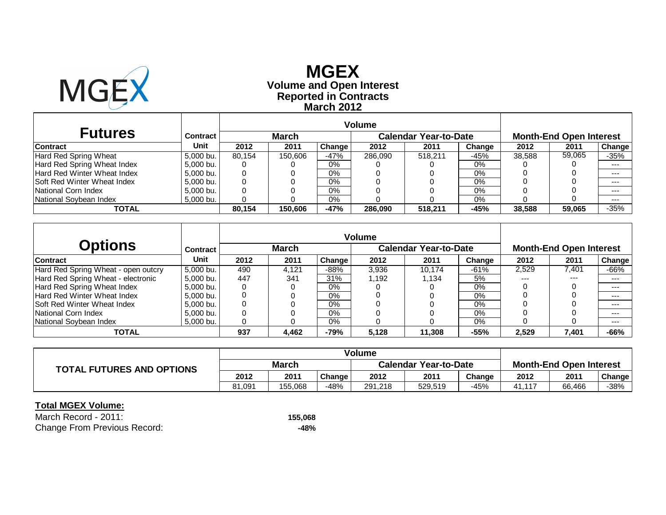

### **Reported in Contracts Volume and Open Interest MGEXMarch 2012**

| <b>Futures</b>                     | <b>Contract</b> |        | <b>March</b> |        |         | <b>Calendar Year-to-Date</b> |        |        | <b>Month-End Open Interest</b> |         |
|------------------------------------|-----------------|--------|--------------|--------|---------|------------------------------|--------|--------|--------------------------------|---------|
| <b>Contract</b>                    | Unit            | 2012   | 2011         | Change | 2012    | 2011                         | Change | 2012   | 2011                           | Change  |
| Hard Red Spring Wheat              | 5.000 bu.       | 80.154 | 150.606      | -47%   | 286.090 | 518.211                      | $-45%$ | 38.588 | 59,065                         | $-35%$  |
| Hard Red Spring Wheat Index        | 5.000 bu.       |        |              | $0\%$  |         |                              | 0%     |        |                                | $---$   |
| Hard Red Winter Wheat Index        | 5.000 bu.       |        |              | $0\%$  |         |                              | $0\%$  |        |                                | $--$    |
| <b>Soft Red Winter Wheat Index</b> | 5.000 bu.       | 0      |              | $0\%$  |         |                              | 0%     |        |                                | $- - -$ |
| National Corn Index                | 5.000 bu.       |        |              | 0%     |         |                              | 0%     |        |                                | $--$    |
| National Sovbean Index             | 5.000 bu.       |        |              | $0\%$  |         |                              | 0%     |        |                                | $--$    |
| TOTAL                              |                 | 80.154 | 150,606      | $-47%$ | 286,090 | 518.211                      | -45%   | 38,588 | 59,065                         | $-35%$  |

|                                     |           |      |              |        | <b>Volume</b> |                              |        |       |                                |        |
|-------------------------------------|-----------|------|--------------|--------|---------------|------------------------------|--------|-------|--------------------------------|--------|
| Options                             | Contract  |      | <b>March</b> |        |               | <b>Calendar Year-to-Date</b> |        |       | <b>Month-End Open Interest</b> |        |
| <b>Contract</b>                     | Unit      | 2012 | 2011         | Change | 2012          | 2011                         | Change | 2012  | 2011                           | Change |
| Hard Red Spring Wheat - open outcry | 5.000 bu. | 490  | 4.121        | $-88%$ | 3,936         | 10.174                       | $-61%$ | 2,529 | 7.401                          | $-66%$ |
| Hard Red Spring Wheat - electronic  | 5,000 bu. | 447  | 341          | 31%    | 1.192         | 1.134                        | 5%     | $---$ | $---$                          | $---$  |
| Hard Red Spring Wheat Index         | 5,000 bu. | 0    |              | 0%     |               |                              | $0\%$  |       |                                | $--$   |
| Hard Red Winter Wheat Index         | 5.000 bu. |      |              | 0%     |               |                              | 0%     |       |                                | $---$  |
| <b>Soft Red Winter Wheat Index</b>  | 5,000 bu. | 0    |              | 0%     |               |                              | $0\%$  |       |                                | $---$  |
| National Corn Index                 | 5.000 bu. | 0    |              | $0\%$  |               |                              | $0\%$  |       |                                | ---    |
| National Soybean Index              | 5,000 bu. | 0    |              | $0\%$  |               |                              | 0%     |       |                                | $---$  |
| <b>TOTAL</b>                        |           | 937  | 4,462        | $-79%$ | 5,128         | 11,308                       | $-55%$ | 2,529 | 7,401                          | -66%   |

|                                  | Volume |         |        |                              |         |        |                                |        |        |
|----------------------------------|--------|---------|--------|------------------------------|---------|--------|--------------------------------|--------|--------|
| <b>TOTAL FUTURES AND OPTIONS</b> | March  |         |        | <b>Calendar Year-to-Date</b> |         |        | <b>Month-End Open Interest</b> |        |        |
|                                  | 2012   | 2011    | Change | 2012                         | 2011    | Change | 2012                           | 2011   | Change |
|                                  | 81.091 | 155.068 | -48%   | 291,218                      | 529.519 | $-45%$ | 41.117                         | 66.466 | -38%   |

| March Record - 2011:                | 155.068 |
|-------------------------------------|---------|
| <b>Change From Previous Record:</b> | -48%    |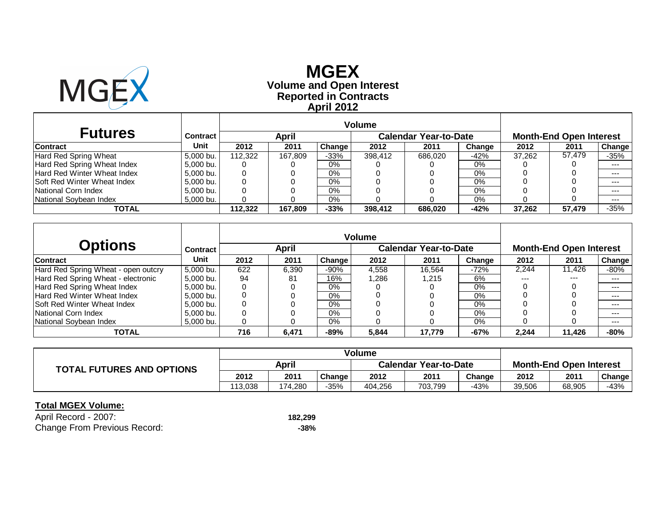

# **Reported in Contracts Volume and Open Interest MGEXApril 2012**

| <b>Futures</b>                     | <b>Contract</b> |         | <b>April</b> |        |         | <b>Calendar Year-to-Date</b> |        |        | <b>Month-End Open Interest</b> |               |
|------------------------------------|-----------------|---------|--------------|--------|---------|------------------------------|--------|--------|--------------------------------|---------------|
| <b>Contract</b>                    | Unit            | 2012    | 2011         | Change | 2012    | 2011                         | Change | 2012   | 2011                           | <b>Change</b> |
| Hard Red Spring Wheat              | 5.000 bu.       | 112.322 | 167.809      | $-33%$ | 398.412 | 686.020                      | $-42%$ | 37.262 | 57.479                         | $-35%$        |
| Hard Red Spring Wheat Index        | 5.000 bu.       |         |              | $0\%$  |         |                              | 0%     |        |                                | $---$         |
| <b>Hard Red Winter Wheat Index</b> | 5.000 bu.       |         |              | $0\%$  |         |                              | 0%     |        |                                | $---$         |
| <b>Soft Red Winter Wheat Index</b> | 5.000 bu.       |         |              | $0\%$  |         |                              | 0%     |        |                                | $--$          |
| National Corn Index                | 5.000 bu.       |         |              | $0\%$  |         |                              | 0%     |        |                                | $--$          |
| National Sovbean Index             | 5.000 bu.       |         |              | 0%     |         |                              | 0%     |        |                                | $---$         |
| TOTAL                              |                 | 112.322 | 167,809      | $-33%$ | 398,412 | 686,020                      | $-42%$ | 37.262 | 57,479                         | $-35%$        |

| Options                             | Contract  |      | April |        |       | <b>Calendar Year-to-Date</b> |        |       | <b>Month-End Open Interest</b> |        |
|-------------------------------------|-----------|------|-------|--------|-------|------------------------------|--------|-------|--------------------------------|--------|
| <b>Contract</b>                     | Unit      | 2012 | 2011  | Change | 2012  | 2011                         | Change | 2012  | 2011                           | Change |
| Hard Red Spring Wheat - open outcry | 5.000 bu. | 622  | 6.390 | $-90%$ | 4,558 | 16.564                       | $-72%$ | 2,244 | 11.426                         | -80%   |
| Hard Red Spring Wheat - electronic  | 5,000 bu. | 94   | 81    | 16%    | .286  | 1.215                        | 6%     | $---$ | $---$                          | $---$  |
| Hard Red Spring Wheat Index         | 5,000 bu. |      |       | $0\%$  |       |                              | $0\%$  |       |                                | $--$   |
| Hard Red Winter Wheat Index         | 5.000 bu. |      |       | $0\%$  |       |                              | 0%     |       |                                | ---    |
| <b>Soft Red Winter Wheat Index</b>  | 5,000 bu. |      |       | $0\%$  |       |                              | $0\%$  |       |                                | $---$  |
| National Corn Index                 | 5.000 bu. |      |       | $0\%$  |       |                              | $0\%$  |       |                                | $--$   |
| National Soybean Index              | 5,000 bu. |      |       | 0%     |       |                              | 0%     |       |                                | $--$   |
| <b>TOTAL</b>                        |           | 716  | 6,471 | $-89%$ | 5,844 | 17.779                       | $-67%$ | 2,244 | 11,426                         | $-80%$ |

|                                  | <b>Volume</b> |         |        |                              |         |        |                                |        |        |
|----------------------------------|---------------|---------|--------|------------------------------|---------|--------|--------------------------------|--------|--------|
| <b>TOTAL FUTURES AND OPTIONS</b> | April         |         |        | <b>Calendar Year-to-Date</b> |         |        | <b>Month-End Open Interest</b> |        |        |
|                                  | 2012          | 2011    | Change | 2012                         | 2011    | Change | 2012                           | 2011   | Change |
|                                  | 113.038       | 174.280 | $-35%$ | 404.256                      | 703.799 | $-43%$ | 39,506                         | 68,905 | -43%   |

| April Record - 2007:                | 182.299 |
|-------------------------------------|---------|
| <b>Change From Previous Record:</b> | -38%    |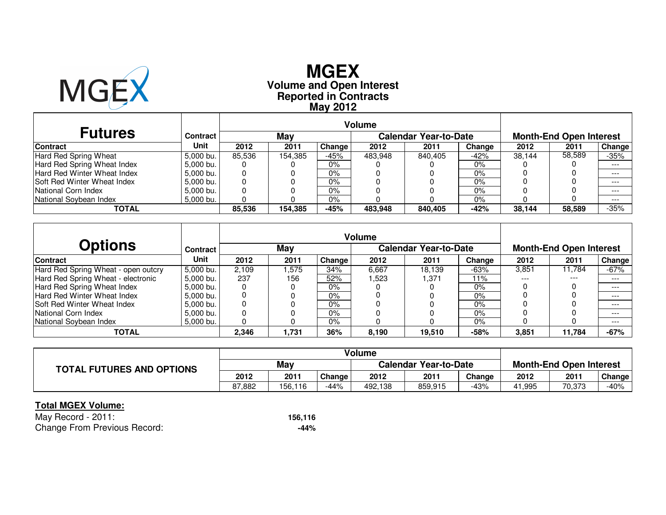

# **Reported in Contracts Volume and Open Interest MGEXMay 2012**

| <b>Futures</b>                     | <b>Contract</b> |        | May     |        |         | <b>Calendar Year-to-Date</b> |        |        | <b>Month-End Open Interest</b> |               |
|------------------------------------|-----------------|--------|---------|--------|---------|------------------------------|--------|--------|--------------------------------|---------------|
| <b>Contract</b>                    | Unit            | 2012   | 2011    | Change | 2012    | 2011                         | Change | 2012   | 2011                           | <b>Change</b> |
| Hard Red Spring Wheat              | 5.000 bu.       | 85.536 | 154.385 | -45%   | 483.948 | 840.405                      | $-42%$ | 38.144 | 58,589                         | $-35%$        |
| Hard Red Spring Wheat Index        | 5.000 bu.       |        |         | $0\%$  |         |                              | 0%     |        |                                | $---$         |
| Hard Red Winter Wheat Index        | 5.000 bu.       | 0      |         | $0\%$  |         |                              | $0\%$  |        |                                | $---$         |
| <b>Soft Red Winter Wheat Index</b> | 5.000 bu.       | 0      |         | $0\%$  |         |                              | 0%     |        |                                | $- - -$       |
| National Corn Index                | 5.000 bu.       |        |         | $0\%$  |         |                              | 0%     |        |                                | $---$         |
| National Sovbean Index             | 5.000 bu.       |        |         | $0\%$  |         |                              | 0%     |        |                                | $---$         |
| TOTAL                              |                 | 85.536 | 154,385 | -45%   | 483,948 | 840,405                      | -42%   | 38,144 | 58,589                         | $-35%$        |

| <b>Options</b>                      | <b>Contract</b> |       | May   |        |       | <b>Calendar Year-to-Date</b> |        |         | <b>Month-End Open Interest</b> |         |
|-------------------------------------|-----------------|-------|-------|--------|-------|------------------------------|--------|---------|--------------------------------|---------|
| <b>Contract</b>                     | Unit            | 2012  | 2011  | Change | 2012  | 2011                         | Change | 2012    | 2011                           | Change  |
| Hard Red Spring Wheat - open outcry | 5.000 bu.       | 2.109 | .575  | 34%    | 6,667 | 18.139                       | $-63%$ | 3,851   | 11.784                         | $-67\%$ |
| Hard Red Spring Wheat - electronic  | 5.000 bu.       | 237   | 156   | 52%    | .523  | 1,371                        | 11%    | $- - -$ | ---                            | $- - -$ |
| Hard Red Spring Wheat Index         | 5.000 bu.       |       |       | $0\%$  |       |                              | $0\%$  |         |                                | $- - -$ |
| Hard Red Winter Wheat Index         | 5.000 bu.       |       |       | $0\%$  |       |                              | 0%     |         |                                | $---$   |
| <b>Soft Red Winter Wheat Index</b>  | 5,000 bu.       |       |       | 0%     |       |                              | $0\%$  |         |                                | $---$   |
| National Corn Index                 | 5.000 bu.       |       |       | 0%     |       |                              | $0\%$  |         |                                | $- - -$ |
| National Soybean Index              | 5,000 bu.       |       |       | 0%     |       |                              | 0%     |         |                                | $---$   |
| <b>TOTAL</b>                        |                 | 2,346 | 1,731 | 36%    | 8,190 | 19,510                       | $-58%$ | 3,851   | 11,784                         | $-67%$  |

|                                  | Volume |         |        |                              |         |        |                                |        |        |
|----------------------------------|--------|---------|--------|------------------------------|---------|--------|--------------------------------|--------|--------|
| <b>TOTAL FUTURES AND OPTIONS</b> | May    |         |        | <b>Calendar Year-to-Date</b> |         |        | <b>Month-End Open Interest</b> |        |        |
|                                  | 2012   | 2011    | Change | 2012                         | 2011    | Change | 2012                           | 2011   | Change |
|                                  | 87.882 | 156,116 | $-44%$ | 492,138                      | 859,915 | -43%   | 41,995                         | 70,373 | $-40%$ |

| May Record - 2011:                  | 156.116 |
|-------------------------------------|---------|
| <b>Change From Previous Record:</b> | -44%    |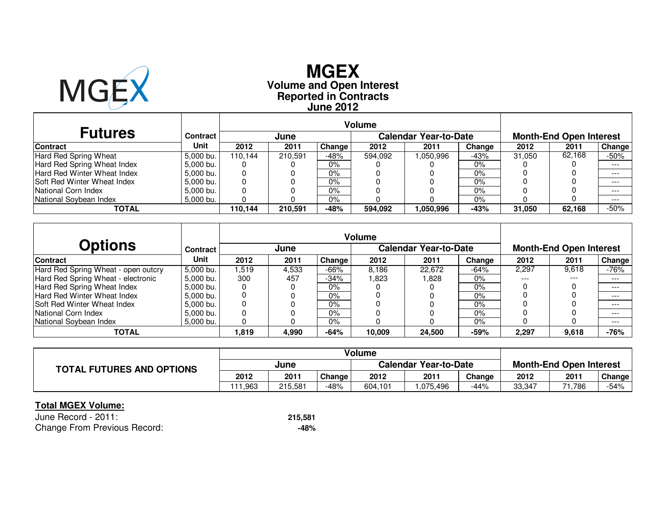

### **Reported in Contracts Volume and Open Interest MGEXJune 2012**

| <b>Futures</b>                     | Contract  |         | June    |        |         | <b>Calendar Year-to-Date</b> |        |        | <b>Month-End Open Interest</b> |               |
|------------------------------------|-----------|---------|---------|--------|---------|------------------------------|--------|--------|--------------------------------|---------------|
| <b>Contract</b>                    | Unit      | 2012    | 2011    | Change | 2012    | 2011                         | Change | 2012   | 2011                           | <b>Change</b> |
| Hard Red Spring Wheat              | 5.000 bu. | 110.144 | 210.591 | -48%   | 594.092 | .050.996                     | $-43%$ | 31.050 | 62.168                         | -50%          |
| Hard Red Spring Wheat Index        | 5,000 bu. |         |         | $0\%$  |         |                              | $0\%$  |        |                                | $- - -$       |
| Hard Red Winter Wheat Index        | 5.000 bu. |         |         | $0\%$  |         |                              | 0%     |        |                                | $- - -$       |
| <b>Soft Red Winter Wheat Index</b> | 5.000 bu. |         |         | $0\%$  |         |                              | 0%     |        |                                | $- - -$       |
| National Corn Index                | 5,000 bu. |         |         | 0%     |         |                              | 0%     |        |                                | $- - -$       |
| National Soybean Index             | 5,000 bu. |         |         | 0%     |         |                              | 0%     |        |                                | $- - -$       |
| TOTAL                              |           | 110.144 | 210,591 | -48%   | 594.092 | 1.050.996                    | $-43%$ | 31.050 | 62,168                         | $-50%$        |

|                                     |                 |       |       |        | <b>Volume</b> |                       |        |       |                                |        |
|-------------------------------------|-----------------|-------|-------|--------|---------------|-----------------------|--------|-------|--------------------------------|--------|
| <b>Options</b>                      | <b>Contract</b> |       | June  |        |               | Calendar Year-to-Date |        |       | <b>Month-End Open Interest</b> |        |
| <b>Contract</b>                     | Unit            | 2012  | 2011  | Change | 2012          | 2011                  | Change | 2012  | 2011                           | Change |
| Hard Red Spring Wheat - open outcry | 5.000 bu.       | .519  | 4.533 | $-66%$ | 8.186         | 22.672                | $-64%$ | 2,297 | 9,618                          | -76%   |
| Hard Red Spring Wheat - electronic  | 5,000 bu.       | 300   | 457   | -34%   | l.823         | l.828                 | 0%     | $---$ | $- - -$                        | $---$  |
| Hard Red Spring Wheat Index         | 5,000 bu.       |       |       | $0\%$  |               |                       | 0%     |       |                                | $---$  |
| Hard Red Winter Wheat Index         | 5.000 bu.       |       |       | 0%     |               |                       | 0%     |       |                                | $---$  |
| <b>Soft Red Winter Wheat Index</b>  | 5.000 bu.       |       |       | $0\%$  |               |                       | 0%     |       |                                | $---$  |
| National Corn Index                 | 5.000 bu.       |       |       | 0%     |               |                       | 0%     |       |                                | $---$  |
| National Soybean Index              | 5,000 bu.       |       |       | 0%     |               |                       | 0%     |       |                                | $---$  |
| <b>TOTAL</b>                        |                 | 819.ا | 4,990 | -64%   | 10,009        | 24.500                | $-59%$ | 2,297 | 9,618                          | $-76%$ |

|                                  | Volume  |         |               |                              |          |        |                                |        |        |
|----------------------------------|---------|---------|---------------|------------------------------|----------|--------|--------------------------------|--------|--------|
| <b>TOTAL FUTURES AND OPTIONS</b> | June    |         |               | <b>Calendar Year-to-Date</b> |          |        | <b>Month-End Open Interest</b> |        |        |
|                                  | 2012    | 2011    | <b>Change</b> | 2012                         | 2011     | Change | 2012                           | 2011   | Change |
|                                  | 111.963 | 215.581 | -48%          | 604.101                      | .075.496 | -44%   | 33,347                         | 786، ا | -54%   |

| June Record - 2011:                 | 215.581 |
|-------------------------------------|---------|
| <b>Change From Previous Record:</b> | -48%    |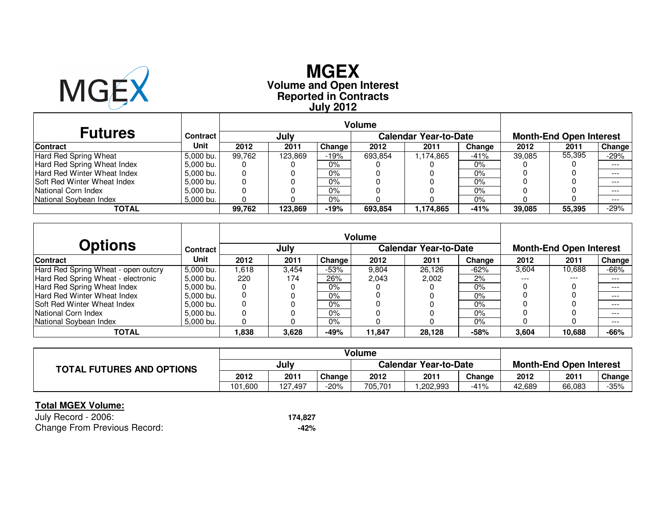

# **Reported in Contracts Volume and Open Interest MGEXJuly 2012**

| <b>Futures</b>                     | <b>Contract</b> |        | July    |        |         | <b>Calendar Year-to-Date</b> |        | <b>Month-End Open Interest</b> |        |         |  |
|------------------------------------|-----------------|--------|---------|--------|---------|------------------------------|--------|--------------------------------|--------|---------|--|
| <b>Contract</b>                    | Unit            | 2012   | 2011    | Change | 2012    | 2011                         | Change | 2012                           | 2011   | Change  |  |
| Hard Red Spring Wheat              | 5.000 bu.       | 99.762 | 123.869 | $-19%$ | 693.854 | 1,174,865                    | $-41%$ | 39.085                         | 55,395 | $-29\%$ |  |
| Hard Red Spring Wheat Index        | 5.000 bu.       |        |         | $0\%$  |         |                              | 0%     |                                |        | $---$   |  |
| Hard Red Winter Wheat Index        | 5.000 bu.       | 0      |         | $0\%$  |         |                              | 0%     |                                |        | $- - -$ |  |
| <b>Soft Red Winter Wheat Index</b> | 5.000 bu.       | 0      |         | $0\%$  |         |                              | 0%     |                                |        | $---$   |  |
| National Corn Index                | 5.000 bu.       |        |         | 0%     |         |                              | 0%     |                                |        | $---$   |  |
| National Sovbean Index             | 5.000 bu.       |        |         | $0\%$  |         |                              | 0%     |                                |        | $---$   |  |
| TOTAL                              |                 | 99.762 | 123,869 | $-19%$ | 693,854 | 1,174,865                    | $-41%$ | 39,085                         | 55,395 | $-29%$  |  |

|                                     |                 | <b>Volume</b><br><b>Calendar Year-to-Date</b> |       |        |        |        |        |       |                                |         |
|-------------------------------------|-----------------|-----------------------------------------------|-------|--------|--------|--------|--------|-------|--------------------------------|---------|
| <b>Options</b>                      | <b>Contract</b> |                                               | July  |        |        |        |        |       | <b>Month-End Open Interest</b> |         |
| <b>Contract</b>                     | Unit            | 2012                                          | 2011  | Change | 2012   | 2011   | Change | 2012  | 2011                           | Change  |
| Hard Red Spring Wheat - open outcry | 5.000 bu.       | .618                                          | 3.454 | $-53%$ | 9.804  | 26.126 | $-62%$ | 3,604 | 10,688                         | -66%    |
| Hard Red Spring Wheat - electronic  | 5,000 bu.       | 220                                           | 174   | 26%    | 2.043  | 2.002  | 2%     | ---   | ---                            | $---$   |
| Hard Red Spring Wheat Index         | 5.000 bu.       |                                               |       | 0%     |        |        | $0\%$  |       |                                | $---$   |
| Hard Red Winter Wheat Index         | 5.000 bu.       |                                               |       | 0%     |        |        | 0%     |       |                                | $- - -$ |
| <b>Soft Red Winter Wheat Index</b>  | 5.000 bu.       |                                               |       | 0%     |        |        | 0%     |       |                                | $---$   |
| National Corn Index                 | 5.000 bu.       |                                               |       | 0%     |        |        | $0\%$  |       |                                | $---$   |
| National Soybean Index              | 5,000 bu.       |                                               |       | 0%     |        |        | 0%     |       |                                | $---$   |
| <b>TOTAL</b>                        |                 | 1,838                                         | 3,628 | $-49%$ | 11,847 | 28,128 | $-58%$ | 3,604 | 10,688                         | -66%    |

|                                  |         |         |               | Volume  |                              |                                |        |        |        |
|----------------------------------|---------|---------|---------------|---------|------------------------------|--------------------------------|--------|--------|--------|
| <b>TOTAL FUTURES AND OPTIONS</b> | July    |         |               |         | <b>Calendar Year-to-Date</b> | <b>Month-End Open Interest</b> |        |        |        |
|                                  | 2012    | 2011    | <b>Change</b> | 2012    | 2011                         | Change                         | 2012   | 2011   | Change |
|                                  | 101.600 | 127.497 | $-20%$        | 705,701 | ,202,993                     | $-41%$                         | 42.689 | 66,083 | $-35%$ |

| July Record - 2006:                 | 174,827 |
|-------------------------------------|---------|
| <b>Change From Previous Record:</b> | -42%    |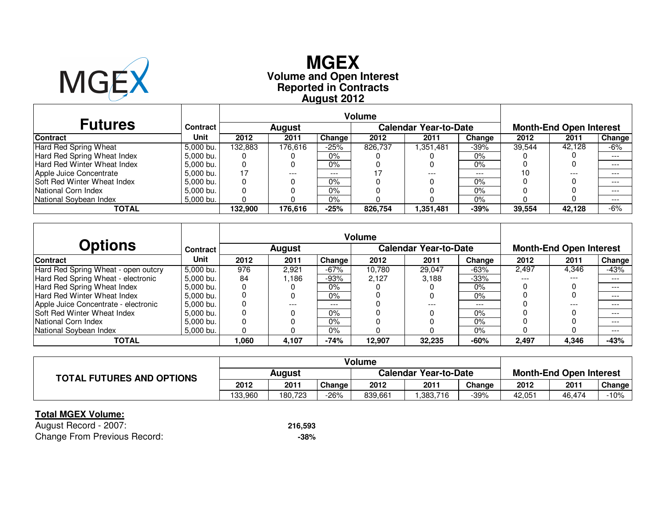

# **Reported in Contracts Volume and Open Interest MGEXAugust 2012**

| <b>Futures</b>                     | Contract  |         | <b>August</b><br><b>Change</b><br>2012<br>2011 |        |         | <b>Calendar Year-to-Date</b> |        |        | <b>Month-End Open Interest</b> |         |
|------------------------------------|-----------|---------|------------------------------------------------|--------|---------|------------------------------|--------|--------|--------------------------------|---------|
| <b>Contract</b>                    | Unit      |         |                                                |        | 2012    | 2011                         | Change | 2012   | 2011                           | Change  |
| Hard Red Spring Wheat              | 5.000 bu. | 132.883 | 176.616                                        | -25%   | 826.737 | 1,351,481                    | $-39%$ | 39.544 | 42.128                         | -6%     |
| Hard Red Spring Wheat Index        | 5.000 bu. | Ü       |                                                | $0\%$  |         |                              | 0%     |        |                                | $---$   |
| <b>Hard Red Winter Wheat Index</b> | 5.000 bu. | O       |                                                | $0\%$  |         |                              | 0%     |        |                                | $---$   |
| Apple Juice Concentrate            | 5.000 bu. | 17      | ---                                            | ---    |         | ---                          | $---$  | 10     | $---$                          | $---$   |
| <b>Soft Red Winter Wheat Index</b> | 5.000 bu. | 0       |                                                | $0\%$  |         |                              | 0%     |        |                                | $- - -$ |
| National Corn Index                | 5.000 bu. |         |                                                | $0\%$  |         |                              | 0%     |        |                                | $---$   |
| National Sovbean Index             | 5.000 bu. |         |                                                | $0\%$  |         |                              | 0%     |        |                                | $---$   |
| <b>TOTAL</b>                       |           | 132.900 | 176.616                                        | $-25%$ | 826.754 | 1,351,481                    | $-39%$ | 39,554 | 42.128                         | $-6%$   |

|                                      |                 | <b>Volume</b> |               |        |        |                              |        |                                |       |        |  |
|--------------------------------------|-----------------|---------------|---------------|--------|--------|------------------------------|--------|--------------------------------|-------|--------|--|
| <b>Options</b>                       | <b>Contract</b> |               | <b>August</b> |        |        | <b>Calendar Year-to-Date</b> |        | <b>Month-End Open Interest</b> |       |        |  |
| <b>Contract</b>                      | Unit            | 2012          | 2011          | Change | 2012   | 2011                         | Change | 2012                           | 2011  | Change |  |
| Hard Red Spring Wheat - open outcry  | 5.000 bu.       | 976           | 2.921         | $-67%$ | 10.780 | 29.047                       | $-63%$ | 2.497                          | 4,346 | -43%   |  |
| Hard Red Spring Wheat - electronic   | 5.000 bu.       | 84            | .186          | $-93%$ | 2.127  | 3.188                        | $-33%$ | $---$                          | ---   | ---    |  |
| Hard Red Spring Wheat Index          | 5.000 bu.       |               |               | 0%     |        |                              | 0%     |                                |       | $---$  |  |
| Hard Red Winter Wheat Index          | 5.000 bu.       |               |               | 0%     |        |                              | 0%     |                                |       | ---    |  |
| Apple Juice Concentrate - electronic | 5,000 bu.       |               | ---           | $---$  |        |                              | $---$  |                                | ---   | $---$  |  |
| <b>Soft Red Winter Wheat Index</b>   | 5.000 bu.       |               |               | 0%     |        |                              | $0\%$  |                                |       | $---$  |  |
| National Corn Index                  | 5.000 bu.       |               |               | 0%     |        |                              | 0%     |                                |       | ---    |  |
| National Soybean Index               | 5,000 bu.       |               |               | 0%     |        |                              | $0\%$  |                                |       | $---$  |  |
| <b>TOTAL</b>                         |                 | ,060          | 4,107         | $-74%$ | 12,907 | 32.235                       | $-60%$ | 2,497                          | 4,346 | $-43%$ |  |

|                                  |               |         |               | Volume                       |          |        |                                |        |        |
|----------------------------------|---------------|---------|---------------|------------------------------|----------|--------|--------------------------------|--------|--------|
| <b>TOTAL FUTURES AND OPTIONS</b> | <b>August</b> |         |               | <b>Calendar Year-to-Date</b> |          |        | <b>Month-End Open Interest</b> |        |        |
|                                  | 2012          | 2011    | <b>Change</b> | 2012                         | 2011     | Change | 2012                           | 2011   | Change |
|                                  | 133.960       | 180.723 | $-26\%$       | 839.661                      | .383,716 | -39%   | 42.051                         | 46.474 | $-10%$ |

### **Total MGEX Volume:**

 August Record - 2007: **216,593** $-38%$ Change From Previous Record:**-38%**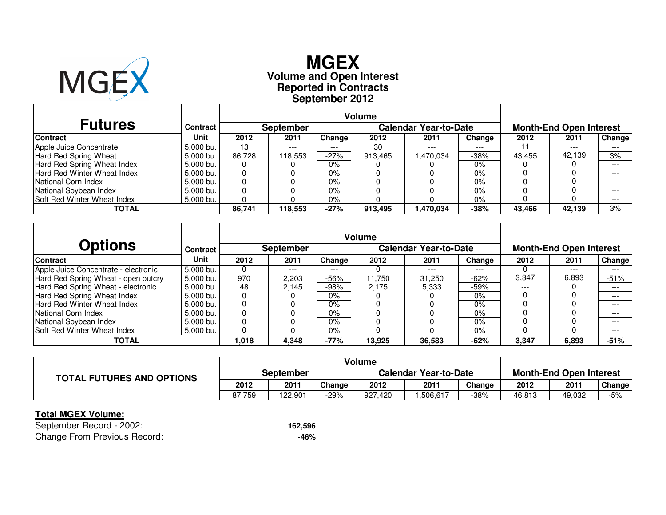

# **Reported in Contracts Volume and Open Interest MGEXSeptember 2012**

|                                    |                 |        |                  |        | <b>Volume</b> |                              |         |        |                                |               |
|------------------------------------|-----------------|--------|------------------|--------|---------------|------------------------------|---------|--------|--------------------------------|---------------|
| <b>Futures</b>                     | <b>Contract</b> |        | <b>September</b> |        |               | <b>Calendar Year-to-Date</b> |         |        | <b>Month-End Open Interest</b> |               |
| <b>Contract</b>                    | Unit            | 2012   | 2011             | Change | 2012          | 2011                         | Change  | 2012   | 2011                           | <b>Change</b> |
| Apple Juice Concentrate            | 5.000 bu.       | 13     | $---$            | $---$  | -30           | ---                          | $- - -$ |        | $---$                          | $---$         |
| Hard Red Spring Wheat              | 5.000 bu.       | 86.728 | 118.553          | -27%   | 913.465       | 1,470,034                    | $-38%$  | 43.455 | 42.139                         | 3%            |
| Hard Red Spring Wheat Index        | 5.000 bu.       | O      |                  | $0\%$  |               |                              | 0%      |        |                                | $---$         |
| Hard Red Winter Wheat Index        | 5.000 bu.       | 0      |                  | 0%     |               |                              | 0%      |        |                                | $- - -$       |
| National Corn Index                | 5.000 bu.       | 0      |                  | $0\%$  |               |                              | 0%      |        |                                | $---$         |
| National Soybean Index             | 5.000 bu.       | 0      |                  | 0%     |               |                              | 0%      |        |                                | $---$         |
| <b>Soft Red Winter Wheat Index</b> | 5.000 bu.       |        |                  | $0\%$  |               |                              | 0%      |        |                                | $---$         |
| <b>TOTAL</b>                       |                 | 86.741 | 118,553          | $-27%$ | 913,495       | 1,470,034                    | $-38%$  | 43.466 | 42,139                         | 3%            |

|                                      |                 |       |                  |        | <b>Volume</b> |                              |        |       |                                |        |
|--------------------------------------|-----------------|-------|------------------|--------|---------------|------------------------------|--------|-------|--------------------------------|--------|
| <b>Options</b>                       | <b>Contract</b> |       | <b>September</b> |        |               | <b>Calendar Year-to-Date</b> |        |       | <b>Month-End Open Interest</b> |        |
| <b>Contract</b>                      | Unit            | 2012  | 2011             | Change | 2012          | 2011                         | Change | 2012  | 2011                           | Change |
| Apple Juice Concentrate - electronic | 5,000 bu.       | O     | $---$            | ---    |               | ---                          | ---    |       | $---$                          | $---$  |
| Hard Red Spring Wheat - open outcry  | 5.000 bu.       | 970   | 2,203            | -56%   | 11.750        | 31,250                       | $-62%$ | 3,347 | 6,893                          | $-51%$ |
| Hard Red Spring Wheat - electronic   | 5.000 bu.       | 48    | 2.145            | -98%   | 2.175         | 5.333                        | $-59%$ | $---$ |                                | $---$  |
| Hard Red Spring Wheat Index          | 5.000 bu.       |       |                  | 0%     |               |                              | 0%     |       |                                | $---$  |
| Hard Red Winter Wheat Index          | 5.000 bu.       |       |                  | 0%     |               |                              | $0\%$  |       |                                | $---$  |
| National Corn Index                  | 5.000 bu.       | 0     |                  | $0\%$  |               |                              | $0\%$  |       |                                | $---$  |
| National Soybean Index               | 5.000 bu.       |       |                  | 0%     |               |                              | $0\%$  |       |                                | $---$  |
| <b>Soft Red Winter Wheat Index</b>   | 5,000 bu.       |       |                  | 0%     |               |                              | 0%     |       |                                | $---$  |
| <b>TOTAL</b>                         |                 | 1.018 | 4,348            | $-77%$ | 13,925        | 36,583                       | $-62%$ | 3,347 | 6,893                          | $-51%$ |

|                                  |           |         |        | Volume                       |          |        |                                |        |        |  |
|----------------------------------|-----------|---------|--------|------------------------------|----------|--------|--------------------------------|--------|--------|--|
| <b>TOTAL FUTURES AND OPTIONS</b> | September |         |        | <b>Calendar Year-to-Date</b> |          |        | <b>Month-End Open Interest</b> |        |        |  |
|                                  | 2012      | 2011    | Change | 2012                         | 2011     | Change | 2012                           | 2011   | Change |  |
|                                  | 87.759    | 122.901 | 29%    | 927,420                      | .506.617 | -38%   | 46.813                         | 49,032 | -5%    |  |

### **Total MGEX Volume:**

 September Record - 2002: **162,596** $-46%$ Change From Previous Record:**-46%**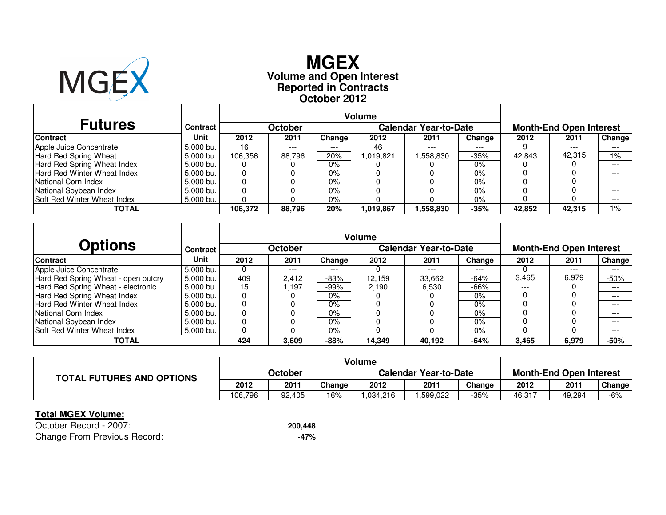

# **Reported in Contracts Volume and Open Interest MGEXOctober 2012**

| <b>Futures</b>                     | Contract  |         | October |         |           | <b>Calendar Year-to-Date</b> |         |        | <b>Month-End Open Interest</b> |         |
|------------------------------------|-----------|---------|---------|---------|-----------|------------------------------|---------|--------|--------------------------------|---------|
| <b>Contract</b>                    | Unit      | 2012    | 2011    | Change  | 2012      | 2011                         | Change  | 2012   | 2011                           | Change  |
| Apple Juice Concentrate            | 5.000 bu. | 16      | $---$   | $- - -$ | 46        | $- - -$                      | $- - -$ |        | $---$                          | $---$   |
| Hard Red Spring Wheat              | 5.000 bu. | 106.356 | 88.796  | 20%     | 019.821.ا | 1,558,830                    | $-35%$  | 42.843 | 42,315                         | 1%      |
| Hard Red Spring Wheat Index        | 5.000 bu. |         |         | $0\%$   |           |                              | 0%      |        |                                | $---$   |
| <b>Hard Red Winter Wheat Index</b> | 5.000 bu. | 0       |         | 0%      |           |                              | 0%      |        |                                | $---$   |
| National Corn Index                | 5.000 bu. | 0       |         | 0%      |           |                              | 0%      |        |                                | $- - -$ |
| National Soybean Index             | 5.000 bu. | 0       |         | $0\%$   |           |                              | 0%      |        |                                | $---$   |
| <b>Soft Red Winter Wheat Index</b> | 5.000 bu. |         |         | $0\%$   |           |                              | 0%      |        |                                | $---$   |
| <b>TOTAL</b>                       |           | 106.372 | 88,796  | 20%     | 1,019,867 | 1,558,830                    | $-35%$  | 42.852 | 42.315                         | 1%      |

|                                     |                 |      |                |        | <b>Volume</b> |                              |        |       |                                |               |
|-------------------------------------|-----------------|------|----------------|--------|---------------|------------------------------|--------|-------|--------------------------------|---------------|
| <b>Options</b>                      | <b>Contract</b> |      | <b>October</b> |        |               | <b>Calendar Year-to-Date</b> |        |       | <b>Month-End Open Interest</b> |               |
| <b>Contract</b>                     | Unit            | 2012 | 2011           | Change | 2012          | 2011                         | Change | 2012  | 2011                           | <b>Change</b> |
| Apple Juice Concentrate             | 5.000 bu.       | O    | $---$          | ---    |               | ---                          | ---    |       | $---$                          | $---$         |
| Hard Red Spring Wheat - open outcry | 5.000 bu.       | 409  | 2,412          | $-83%$ | 12.159        | 33,662                       | $-64%$ | 3,465 | 6,979                          | $-50%$        |
| Hard Red Spring Wheat - electronic  | 5.000 bu.       | 15   | .197           | -99%   | 2.190         | 6.530                        | $-66%$ | $---$ |                                | $---$         |
| Hard Red Spring Wheat Index         | 5,000 bu.       |      |                | 0%     |               |                              | 0%     |       |                                | $---$         |
| Hard Red Winter Wheat Index         | 5,000 bu.       |      |                | 0%     |               |                              | $0\%$  |       |                                | $---$         |
| <b>National Corn Index</b>          | 5.000 bu.       | 0    |                | 0%     |               |                              | $0\%$  |       |                                | $- - -$       |
| National Soybean Index              | 5.000 bu.       |      |                | 0%     |               |                              | $0\%$  |       |                                | $---$         |
| Soft Red Winter Wheat Index         | 5,000 bu.       |      |                | 0%     |               |                              | 0%     |       |                                | $---$         |
| <b>TOTAL</b>                        |                 | 424  | 3,609          | $-88%$ | 14,349        | 40.192                       | $-64%$ | 3,465 | 6,979                          | $-50%$        |

|                                  |         |        |        | Volume                       |          |        |                                |        |        |
|----------------------------------|---------|--------|--------|------------------------------|----------|--------|--------------------------------|--------|--------|
| <b>TOTAL FUTURES AND OPTIONS</b> | October |        |        | <b>Calendar Year-to-Date</b> |          |        | <b>Month-End Open Interest</b> |        |        |
|                                  | 2012    | 2011   | Change | 2012                         | 2011     | Change | 2012                           | 2011   | Change |
|                                  | 106,796 | 92.405 | 16%    | .034.216                     | .599.022 | -35%   | 46,317                         | 49,294 | $-6%$  |

### **Total MGEX Volume:**

 October Record - 2007: **200,448** $-47%$ Change From Previous Record:**-47%**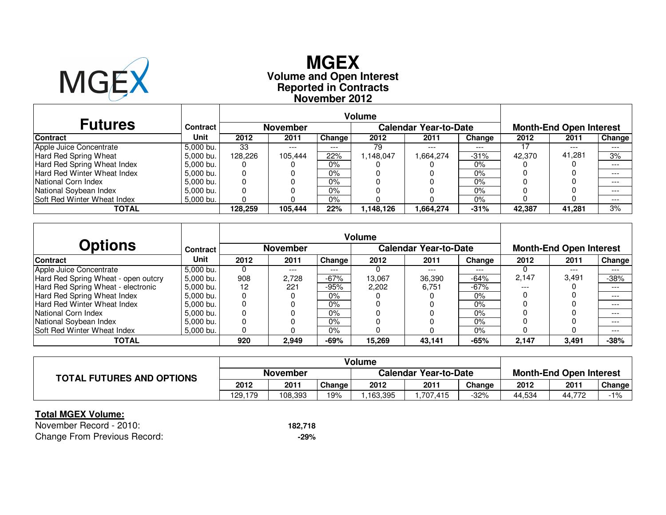

# **Reported in Contracts Volume and Open Interest MGEXNovember 2012**

| <b>Futures</b>                     | Contract  |         | <b>November</b> |        |           | <b>Calendar Year-to-Date</b> | <b>Month-End Open Interest</b> |        |        |        |
|------------------------------------|-----------|---------|-----------------|--------|-----------|------------------------------|--------------------------------|--------|--------|--------|
| <b>Contract</b>                    | Unit      | 2012    | 2011            | Change | 2012      | 2011                         | Change                         | 2012   | 2011   | Change |
| Apple Juice Concentrate            | 5.000 bu. | 33      | $---$           | $---$  | 79        | $---$                        | $---$                          |        | $---$  | $---$  |
| Hard Red Spring Wheat              | 5.000 bu. | 128.226 | 105.444         | 22%    | .148.047  | 1,664,274                    | $-31%$                         | 42.370 | 41,281 | 3%     |
| Hard Red Spring Wheat Index        | 5.000 bu. | O       |                 | $0\%$  |           |                              | 0%                             |        |        | $---$  |
| Hard Red Winter Wheat Index        | 5.000 bu. | 0       |                 | $0\%$  |           |                              | 0%                             |        |        | $---$  |
| National Corn Index                | 5.000 bu. | 0       |                 | $0\%$  |           |                              | 0%                             |        |        | $---$  |
| National Soybean Index             | 5.000 bu. | 0       |                 | $0\%$  |           |                              | 0%                             |        |        | $---$  |
| <b>Soft Red Winter Wheat Index</b> | 5.000 bu. | 0       |                 | $0\%$  |           |                              | 0%                             |        |        | $---$  |
| TOTAL                              |           | 128,259 | 105,444         | 22%    | 1,148,126 | 1,664,274                    | $-31%$                         | 42,387 | 41,281 | 3%     |

|                                     |                 |      |          |        | <b>Volume</b> |                              |        |       |                                |               |  |
|-------------------------------------|-----------------|------|----------|--------|---------------|------------------------------|--------|-------|--------------------------------|---------------|--|
| <b>Options</b>                      | <b>Contract</b> |      | November |        |               | <b>Calendar Year-to-Date</b> |        |       | <b>Month-End Open Interest</b> |               |  |
| Contract                            | Unit            | 2012 | 2011     | Change | 2012          | 2011                         | Change | 2012  | 2011                           | <b>Change</b> |  |
| Apple Juice Concentrate             | 5,000 bu.       | U    | $---$    | ---    |               | ---                          | ---    |       | $---$                          | $---$         |  |
| Hard Red Spring Wheat - open outcry | 5.000 bu.       | 908  | 2.728    | $-67%$ | 13,067        | 36,390                       | $-64%$ | 2,147 | 3,491                          | $-38%$        |  |
| Hard Red Spring Wheat - electronic  | 5.000 bu.       | 12   | 221      | $-95%$ | 2.202         | 6.751                        | $-67%$ | $---$ |                                | $---$         |  |
| Hard Red Spring Wheat Index         | 5.000 bu.       |      |          | 0%     |               |                              | $0\%$  |       |                                | $---$         |  |
| Hard Red Winter Wheat Index         | 5.000 bu.       |      |          | 0%     |               |                              | 0%     |       |                                | $---$         |  |
| National Corn Index                 | 5.000 bu.       | 0    |          | 0%     |               |                              | $0\%$  |       |                                | $---$         |  |
| National Soybean Index              | 5,000 bu.       |      |          | 0%     |               |                              | $0\%$  |       |                                | $---$         |  |
| <b>Soft Red Winter Wheat Index</b>  | 5,000 bu.       |      |          | 0%     |               |                              | $0\%$  |       |                                | $---$         |  |
| <b>TOTAL</b>                        |                 | 920  | 2,949    | $-69%$ | 15,269        | 43,141                       | $-65%$ | 2,147 | 3,491                          | $-38%$        |  |

|                                  |          |         |        | <b>Volume</b>                |         |        |                                |        |        |
|----------------------------------|----------|---------|--------|------------------------------|---------|--------|--------------------------------|--------|--------|
| <b>TOTAL FUTURES AND OPTIONS</b> | November |         |        | <b>Calendar Year-to-Date</b> |         |        | <b>Month-End Open Interest</b> |        |        |
|                                  | 2012     | 2011    | Change | 2012                         | 2011    | Change | 2012                           | 2011   | Change |
|                                  | 129,179  | 108.393 | 19%    | .163.395                     | 707.415 | -32%   | 44.534                         | 44.772 | $-1%$  |

### **Total MGEX Volume:**

 November Record - 2010: **182,718** $-29%$ Change From Previous Record:**-29%**